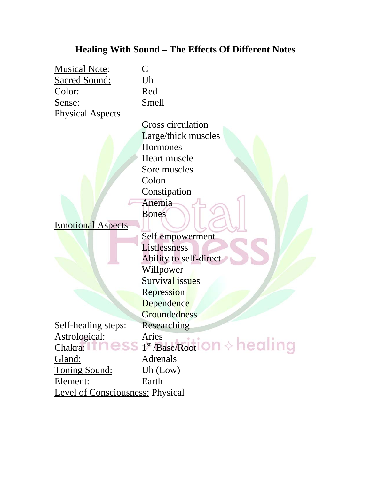### **Healing With Sound – The Effects Of Different Notes**

Musical Note: C Sacred Sound: Uh Color: Red Sense: Smell Physical Aspects

Gross circulation Large/thick muscles **Hormones** Heart muscle Sore muscles Colon Constipation Anemia Bones

Self empowerment

Listlessness

Emotional Aspects

Ability to self-direct Willpower Survival issues Repression **Dependence Groundedness** Self-healing steps: Researching Astrological: Aries  $\frac{\text{Chakra:}}{\text{Chakra:}}$  ness  $1^{\text{st}}$ /Base/Root on  $\diamond$  healing Gland: Adrenals Toning Sound: Uh (Low) Element: Earth Level of Consciousness: Physical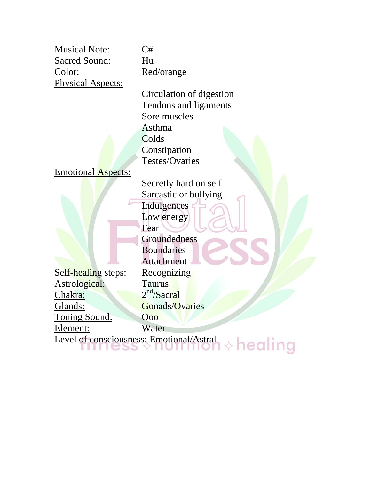Musical Note: C# Sacred Sound: Hu Color: Red/orange Physical Aspects:

Circulation of digestion Tendons and ligaments Sore muscles Asthma **Colds** Constipation Testes/Ovaries

### Emotional Aspects:

Self-healing steps: Recognizing Astrological: Taurus Chakra:  $2<sup>nd</sup>/Sacral$ Glands: Gonads/Ovaries Toning Sound: Ooo Element: Water

Secretly hard on self Sarcastic or bullying **Indulgences** Low energy Fear Groundedness **Boundaries Attachment** 

Level of consciousness: Emotional/Astral  $\lozenge$  healing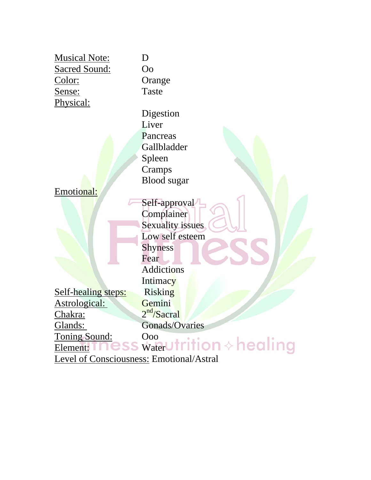|                                          | D                           |
|------------------------------------------|-----------------------------|
| <b>Musical Note:</b>                     |                             |
| <b>Sacred Sound:</b>                     | O <sub>o</sub>              |
| Color:                                   | Orange                      |
| <u>Sense:</u>                            | Taste                       |
| Physical:                                |                             |
|                                          | Digestion                   |
|                                          | Liver                       |
|                                          | Pancreas                    |
|                                          | Gallbladder                 |
|                                          | Spleen                      |
|                                          | Cramps                      |
|                                          | <b>Blood</b> sugar          |
| Emotional:                               |                             |
|                                          | Self-approval               |
|                                          | Complainer                  |
|                                          | Sexuality issues            |
|                                          | Low self esteem             |
|                                          | <b>Shyness</b>              |
|                                          | Fear                        |
|                                          | <b>Addictions</b>           |
|                                          | Intimacy                    |
| Self-healing steps:                      | Risking                     |
| Astrological:                            | Gemini                      |
| Chakra:                                  | 2 <sup>nd</sup> /Sacral     |
| Glands:                                  | Gonads/Ovaries              |
| Toning Sound:                            | Ooo                         |
| Element:                                 | $\frac{0.00}{\text{Water}}$ |
| Level of Consciousness: Emotional/Astral |                             |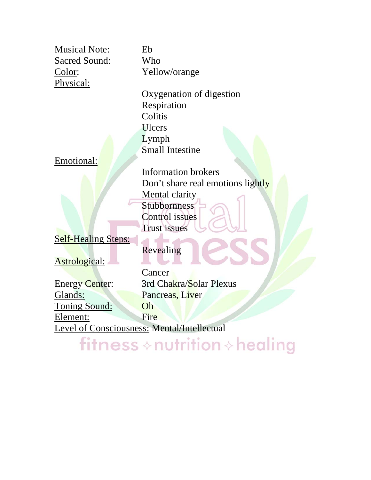Musical Note: Eb Sacred Sound: Who Color: Yellow/orange Physical:

Oxygenation of digestion Respiration **Colitis** Ulcers Lymph Small Intestine

Don't share real emotions lightly

Information brokers

Mental clarity **Stubbornness** Control issues Trust issues

Emotional:

Self-Healing Steps:

Astrological:

Revealing

Cancer Energy Center: 3rd Chakra/Solar Plexus Glands: Pancreas, Liver Toning Sound: Oh Element: Fire Level of Consciousness: Mental/Intellectual

fitness  $\diamond$  nutrition  $\diamond$  healing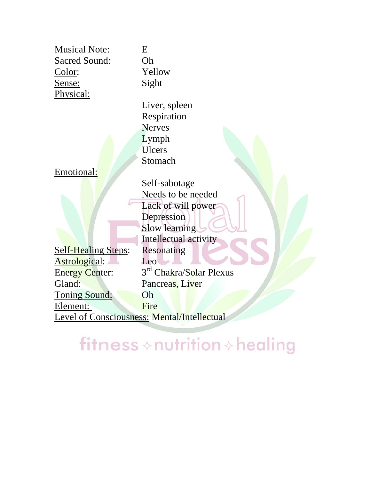| <b>Musical Note:</b>       | E                                                  |
|----------------------------|----------------------------------------------------|
| <b>Sacred Sound:</b>       | Oh                                                 |
| Color:                     | Yellow                                             |
| Sense:                     | Sight                                              |
| Physical:                  |                                                    |
|                            | Liver, spleen                                      |
|                            | Respiration                                        |
|                            | <b>Nerves</b>                                      |
|                            | Lymph                                              |
|                            | <b>Ulcers</b>                                      |
|                            | Stomach                                            |
| Emotional:                 |                                                    |
|                            | Self-sabotage                                      |
|                            | Needs to be needed                                 |
|                            | Lack of will power                                 |
|                            | Depression                                         |
|                            | Slow learning                                      |
|                            | Intellectual activity                              |
| <b>Self-Healing Steps:</b> | Resonating                                         |
| Astrological:              | Leo                                                |
| <b>Energy Center:</b>      | 3 <sup>rd</sup> Chakra/Solar Plexus                |
| Gland:                     | Pancreas, Liver                                    |
| <b>Toning Sound:</b>       | Oh                                                 |
| Element:                   | Fire                                               |
|                            | <b>Level of Consciousness: Mental/Intellectual</b> |
|                            |                                                    |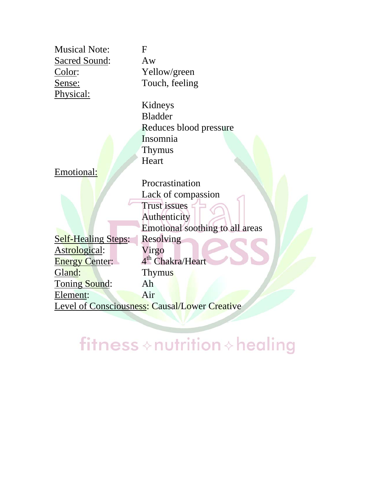| <b>Musical Note:</b> | F           |
|----------------------|-------------|
| Sacred Sound:        | $A^{\cdot}$ |
| Color:               | Y           |
| Sense:               | Т           |
| Physical:            |             |

 $A$ w Yellow/green Touch, feeling

Kidneys Bladder Reduces blood pressure Insomnia Thymus Heart

Emotional:

Procrastination Lack of compassion Trust issues Authenticity Emotional soothing to all areas Self-Healing Steps: Resolving Astrological: Virgo  $\overline{\text{Energy Center:}}$  4<sup>th</sup> Chakra/Heart Gland: Thymus Toning Sound: Ah Element: Air Level of Consciousness: Causal/Lower Creative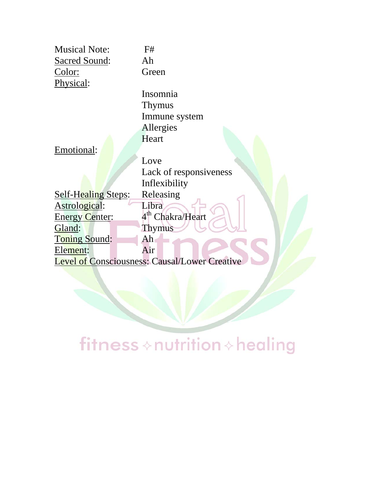| <b>Musical Note:</b>  | F#                                                   |
|-----------------------|------------------------------------------------------|
| Sacred Sound:         | Ah                                                   |
| <u>Color:</u>         | Green                                                |
| Physical:             |                                                      |
|                       | Insomnia                                             |
|                       | <b>Thymus</b>                                        |
|                       | Immune system                                        |
|                       | Allergies                                            |
|                       | Heart                                                |
| Emotional:            |                                                      |
|                       | Love                                                 |
|                       | Lack of responsiveness                               |
|                       | Inflexibility                                        |
| Self-Healing Steps:   | Releasing                                            |
| Astrological:         | Libra                                                |
| <b>Energy Center:</b> | 4 <sup>th</sup> Chakra/Heart                         |
| Gland:                | <b>Thymus</b>                                        |
| Toning Sound:         | Ah                                                   |
| Element:              | Air                                                  |
|                       | <b>Level of Consciousness: Causal/Lower Creative</b> |
|                       |                                                      |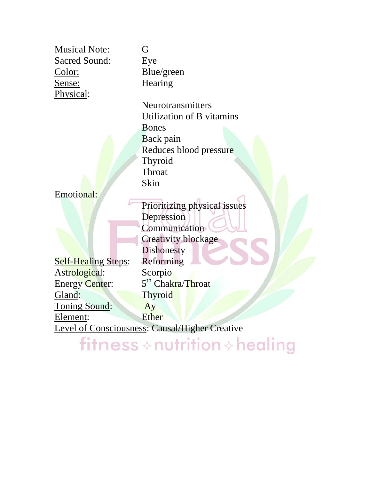| <b>Musical Note:</b>       | G                                                     |
|----------------------------|-------------------------------------------------------|
| <b>Sacred Sound:</b>       | Eye                                                   |
| <u>Color:</u>              | Blue/green                                            |
| Sense:                     | Hearing                                               |
| Physical:                  |                                                       |
|                            | Neurotransmitters                                     |
|                            | Utilization of B vitamins                             |
|                            | <b>Bones</b>                                          |
|                            | Back pain                                             |
|                            | Reduces blood pressure                                |
|                            | Thyroid                                               |
|                            | Throat                                                |
|                            | Skin                                                  |
| Emotional:                 |                                                       |
|                            | Prioritizing physical issues                          |
|                            | Depression                                            |
|                            | Communication                                         |
|                            | <b>Creativity blockage</b>                            |
|                            | Dishonesty                                            |
| <b>Self-Healing Steps:</b> | Reforming                                             |
| Astrological:              | Scorpio                                               |
| <b>Energy Center:</b>      | 5 <sup>th</sup> Chakra/Throat                         |
| Gland:                     | Thyroid                                               |
| Toning Sound:              | Ay                                                    |
| Element:                   | <b>Ether</b>                                          |
|                            | <b>Level of Consciousness: Causal/Higher Creative</b> |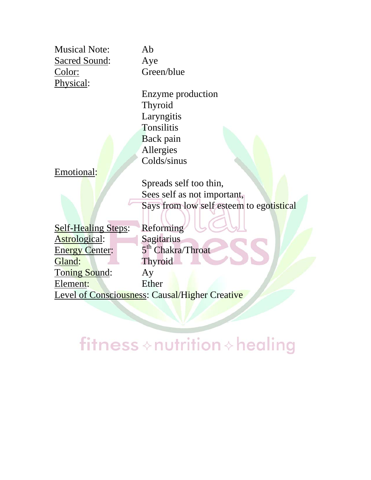Musical Note: Ab Sacred Sound: Aye Color: Green/blue Physical:

Enzyme production Thyroid Laryngitis **Tonsilitis** Back pain Allergies Colds/sinus

Emotional:

Spreads self too thin, Sees self as not important, Says from low self esteem to egotistical

Self-Healing Steps: Reforming Astrological: Sagitarius Energy Center:  $5<sup>th</sup> Chakra/Throat$ Gland: Thyroid Toning Sound: Ay Element: Ether Level of Consciousness: Causal/Higher Creative

### fitness  $\diamond$  nutrition  $\diamond$  healing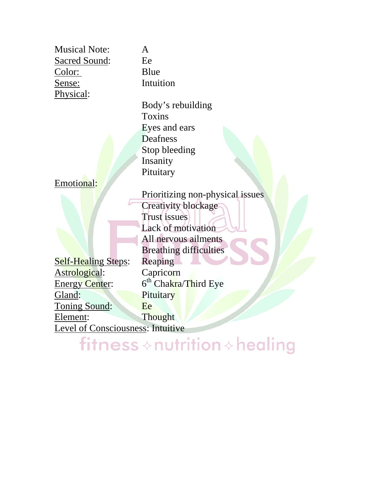| <b>Musical Note:</b>                     | A                                |
|------------------------------------------|----------------------------------|
| <b>Sacred Sound:</b>                     | Ee                               |
| <u>Color:</u>                            | Blue                             |
| <u>Sense:</u>                            | Intuition                        |
| Physical:                                |                                  |
|                                          | Body's rebuilding                |
|                                          | Toxins                           |
|                                          | Eyes and ears                    |
|                                          | <b>Deafness</b>                  |
|                                          | Stop bleeding                    |
|                                          | Insanity                         |
|                                          | Pituitary                        |
| Emotional:                               |                                  |
|                                          | Prioritizing non-physical issues |
|                                          | <b>Creativity blockage</b>       |
|                                          | Trust issues                     |
|                                          | Lack of motivation               |
|                                          | All nervous ailments             |
|                                          | <b>Breathing difficulties</b>    |
| <b>Self-Healing Steps:</b>               | Reaping                          |
| Astrological:                            | Capricorn                        |
| <b>Energy Center:</b>                    | 6 <sup>th</sup> Chakra/Third Eye |
| Gland:                                   | Pituitary                        |
| Toning Sound:                            | Ee                               |
| Element:                                 | Thought                          |
| <b>Level of Consciousness: Intuitive</b> |                                  |
|                                          |                                  |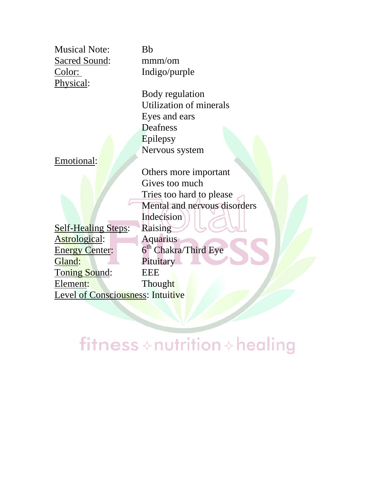Musical Note: Bb Sacred Sound: mmm/om Color: Indigo/purple Physical:

Emotional:

Self-Healing Steps: Raising Astrological: Aquarius<br>
Energy Center: 6<sup>th</sup> Chakra Gland: Pituitary Toning Sound: EEE Element: Thought Level of Consciousness: Intuitive

fitness  $\diamond$  nutrition  $\diamond$  healing

Body regulation Utilization of minerals Eyes and ears Deafness Epilepsy

Nervous system

Others more important Gives too much Tries too hard to please Mental and nervous disorders Indecision  $6<sup>th</sup> Chakra/Third Eye$